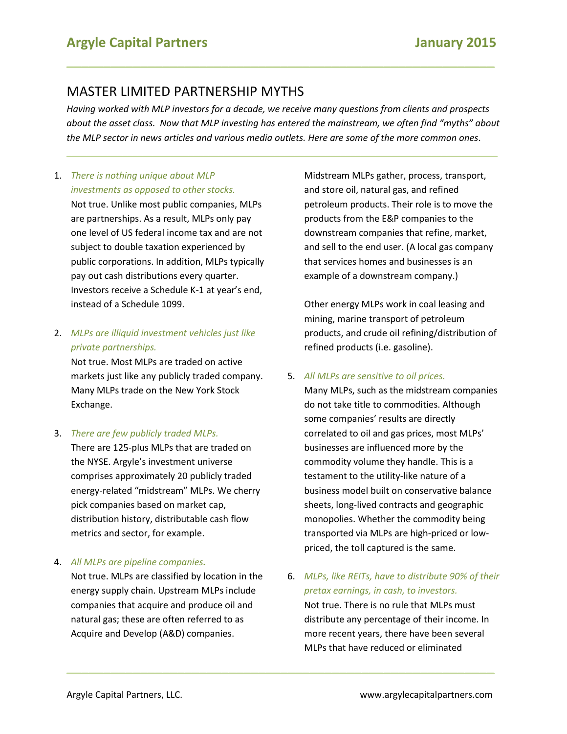# MASTER LIMITED PARTNERSHIP MYTHS

*Having worked with MLP investors for a decade, we receive many questions from clients and prospects about the asset class. Now that MLP investing has entered the mainstream, we often find "myths" about the MLP sector in news articles and various media outlets. Here are some of the more common ones*.

**\_\_\_\_\_\_\_\_\_\_\_\_\_\_\_\_\_\_\_\_\_\_\_\_\_\_\_\_\_\_\_\_\_\_\_\_\_\_\_\_\_\_\_\_\_\_\_\_\_\_\_\_\_\_\_\_\_\_\_\_\_\_\_\_\_\_\_\_\_\_\_\_\_\_\_\_\_\_\_\_\_\_\_\_\_**

**\_\_\_\_\_\_\_\_\_\_\_\_\_\_\_\_\_\_\_\_\_\_\_\_\_\_\_\_\_\_\_\_\_\_\_\_\_\_\_\_\_\_\_\_\_\_\_\_\_\_\_\_\_\_\_\_\_\_**

**\_\_\_\_\_\_\_\_\_\_\_\_\_\_\_\_\_\_\_\_\_\_\_\_\_\_\_\_\_\_\_\_\_\_\_\_\_\_\_\_\_\_\_\_\_\_\_\_\_\_\_\_\_\_\_\_\_\_**

# 1. *There is nothing unique about MLP investments as opposed to other stocks.*

Not true. Unlike most public companies, MLPs are partnerships. As a result, MLPs only pay one level of US federal income tax and are not subject to double taxation experienced by public corporations. In addition, MLPs typically pay out cash distributions every quarter. Investors receive a Schedule K-1 at year's end, instead of a Schedule 1099.

### 2. *MLPs are illiquid investment vehicles just like private partnerships.*

Not true. Most MLPs are traded on active markets just like any publicly traded company. Many MLPs trade on the New York Stock Exchange.

### 3. *There are few publicly traded MLPs.*

There are 125-plus MLPs that are traded on the NYSE. Argyle's investment universe comprises approximately 20 publicly traded energy-related "midstream" MLPs. We cherry pick companies based on market cap, distribution history, distributable cash flow metrics and sector, for example.

### 4. *All MLPs are pipeline companies.*

Not true. MLPs are classified by location in the energy supply chain. Upstream MLPs include companies that acquire and produce oil and natural gas; these are often referred to as Acquire and Develop (A&D) companies.

Midstream MLPs gather, process, transport, and store oil, natural gas, and refined petroleum products. Their role is to move the products from the E&P companies to the downstream companies that refine, market, and sell to the end user. (A local gas company that services homes and businesses is an example of a downstream company.)

Other energy MLPs work in coal leasing and mining, marine transport of petroleum products, and crude oil refining/distribution of refined products (i.e. gasoline).

5. *All MLPs are sensitive to oil prices.*

Many MLPs, such as the midstream companies do not take title to commodities. Although some companies' results are directly correlated to oil and gas prices, most MLPs' businesses are influenced more by the commodity volume they handle. This is a testament to the utility-like nature of a business model built on conservative balance sheets, long-lived contracts and geographic monopolies. Whether the commodity being transported via MLPs are high-priced or lowpriced, the toll captured is the same.

6. *MLPs, like REITs, have to distribute 90% of their pretax earnings, in cash, to investors.* Not true. There is no rule that MLPs must distribute any percentage of their income. In more recent years, there have been several MLPs that have reduced or eliminated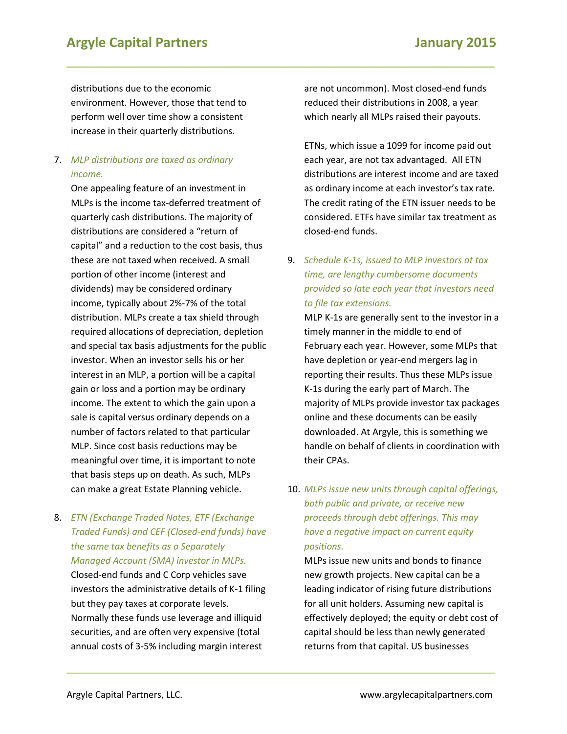# **Argyle Capital Partners January 2015**

distributions due to the economic environment. However, those that tend to perform well over time show a consistent increase in their quarterly distributions.

### 7. *MLP distributions are taxed as ordinary income.*

One appealing feature of an investment in MLPs is the income tax-deferred treatment of quarterly cash distributions. The majority of distributions are considered a "return of capital" and a reduction to the cost basis, thus these are not taxed when received. A small portion of other income (interest and dividends) may be considered ordinary income, typically about 2%-7% of the total distribution. MLPs create a tax shield through required allocations of depreciation, depletion and special tax basis adjustments for the public investor. When an investor sells his or her interest in an MLP, a portion will be a capital gain or loss and a portion may be ordinary income. The extent to which the gain upon a sale is capital versus ordinary depends on a number of factors related to that particular MLP. Since cost basis reductions may be meaningful over time, it is important to note that basis steps up on death. As such, MLPs can make a great Estate Planning vehicle.

## 8. *ETN (Exchange Traded Notes, ETF (Exchange Traded Funds) and CEF (Closed-end funds) have the same tax benefits as a Separately Managed Account (SMA) investor in MLPs.*

Closed-end funds and C Corp vehicles save investors the administrative details of K-1 filing but they pay taxes at corporate levels. Normally these funds use leverage and illiquid securities, and are often very expensive (total annual costs of 3-5% including margin interest

are not uncommon). Most closed-end funds reduced their distributions in 2008, a year which nearly all MLPs raised their payouts.

**\_\_\_\_\_\_\_\_\_\_\_\_\_\_\_\_\_\_\_\_\_\_\_\_\_\_\_\_\_\_\_\_\_\_\_\_\_\_\_\_\_\_\_\_\_\_\_\_\_\_\_\_\_\_\_\_\_\_**

**\_\_\_\_\_\_\_\_\_\_\_\_\_\_\_\_\_\_\_\_\_\_\_\_\_\_\_\_\_\_\_\_\_\_\_\_\_\_\_\_\_\_\_\_\_\_\_\_\_\_\_\_\_\_\_\_\_\_**

ETNs, which issue a 1099 for income paid out each year, are not tax advantaged. All ETN distributions are interest income and are taxed as ordinary income at each investor's tax rate. The credit rating of the ETN issuer needs to be considered. ETFs have similar tax treatment as closed-end funds.

9. *Schedule K-1s, issued to MLP investors at tax time, are lengthy cumbersome documents provided so late each year that investors need to file tax extensions.*

MLP K-1s are generally sent to the investor in a timely manner in the middle to end of February each year. However, some MLPs that have depletion or year-end mergers lag in reporting their results. Thus these MLPs issue K-1s during the early part of March. The majority of MLPs provide investor tax packages online and these documents can be easily downloaded. At Argyle, this is something we handle on behalf of clients in coordination with their CPAs.

# 10. *MLPs issue new units through capital offerings, both public and private, or receive new proceeds through debt offerings. This may have a negative impact on current equity positions.*

MLPs issue new units and bonds to finance new growth projects. New capital can be a leading indicator of rising future distributions for all unit holders. Assuming new capital is effectively deployed; the equity or debt cost of capital should be less than newly generated returns from that capital. US businesses